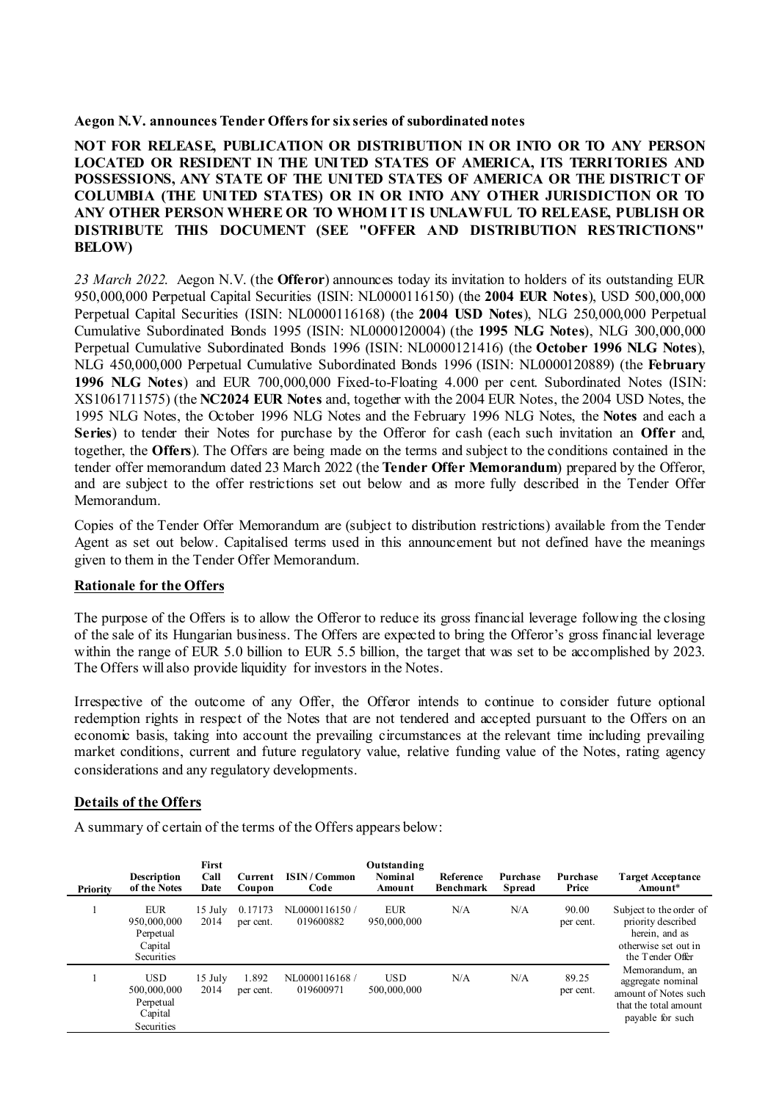#### **Aegon N.V. announces Tender Offersfor six series of subordinated notes**

**NOT FOR RELEASE, PUBLICATION OR DISTRIBUTION IN OR INTO OR TO ANY PERSON LOCATED OR RESIDENT IN THE UNITED STATES OF AMERICA, ITS TERRITORIES AND POSSESSIONS, ANY STATE OF THE UNITED STATES OF AMERICA OR THE DISTRICT OF COLUMBIA (THE UNITED STATES) OR IN OR INTO ANY OTHER JURISDICTION OR TO ANY OTHER PERSON WHERE OR TO WHOM IT IS UNLAWFUL TO RELEASE, PUBLISH OR DISTRIBUTE THIS DOCUMENT (SEE "OFFER AND DISTRIBUTION RESTRICTIONS" BELOW)**

*23 March 2022*. Aegon N.V. (the **Offeror**) announces today its invitation to holders of its outstanding EUR 950,000,000 Perpetual Capital Securities (ISIN: NL0000116150) (the **2004 EUR Notes**), USD 500,000,000 Perpetual Capital Securities (ISIN: NL0000116168) (the **2004 USD Notes**), NLG 250,000,000 Perpetual Cumulative Subordinated Bonds 1995 (ISIN: NL0000120004) (the **1995 NLG Notes**), NLG 300,000,000 Perpetual Cumulative Subordinated Bonds 1996 (ISIN: NL0000121416) (the **October 1996 NLG Notes**), NLG 450,000,000 Perpetual Cumulative Subordinated Bonds 1996 (ISIN: NL0000120889) (the **February 1996 NLG Notes**) and EUR 700,000,000 Fixed-to-Floating 4.000 per cent. Subordinated Notes (ISIN: XS1061711575) (the **NC2024 EUR Notes** and, together with the 2004 EUR Notes, the 2004 USD Notes, the 1995 NLG Notes, the October 1996 NLG Notes and the February 1996 NLG Notes, the **Notes** and each a **Series**) to tender their Notes for purchase by the Offeror for cash (each such invitation an **Offer** and, together, the **Offers**). The Offers are being made on the terms and subject to the conditions contained in the tender offer memorandum dated 23 March 2022 (the **Tender Offer Memorandum**) prepared by the Offeror, and are subject to the offer restrictions set out below and as more fully described in the Tender Offer Memorandum.

Copies of the Tender Offer Memorandum are (subject to distribution restrictions) available from the Tender Agent as set out below. Capitalised terms used in this announcement but not defined have the meanings given to them in the Tender Offer Memorandum.

### **Rationale for the Offers**

The purpose of the Offers is to allow the Offeror to reduce its gross financial leverage following the closing of the sale of its Hungarian business. The Offers are expected to bring the Offeror's gross financial leverage within the range of EUR 5.0 billion to EUR 5.5 billion, the target that was set to be accomplished by 2023. The Offers will also provide liquidity for investors in the Notes.

Irrespective of the outcome of any Offer, the Offeror intends to continue to consider future optional redemption rights in respect of the Notes that are not tendered and accepted pursuant to the Offers on an economic basis, taking into account the prevailing circumstances at the relevant time including prevailing market conditions, current and future regulatory value, relative funding value of the Notes, rating agency considerations and any regulatory developments.

# **Details of the Offers**

A summary of certain of the terms of the Offers appears below:

| Priority | Description<br>of the Notes                                     | First<br>Call<br>Date | Current<br>Coupon    | <b>ISIN/Common</b><br>Code | Outstanding<br><b>Nominal</b><br>Amount | Reference<br><b>Benchmark</b> | Purchase<br>Spread | Purchase<br>Price  | <b>Target Acceptance</b><br>Amount*                                                                         |
|----------|-----------------------------------------------------------------|-----------------------|----------------------|----------------------------|-----------------------------------------|-------------------------------|--------------------|--------------------|-------------------------------------------------------------------------------------------------------------|
|          | <b>EUR</b><br>950,000,000<br>Perpetual<br>Capital<br>Securities | 15 July<br>2014       | 0.17173<br>per cent. | NL0000116150/<br>019600882 | <b>EUR</b><br>950,000,000               | N/A                           | N/A                | 90.00<br>per cent. | Subject to the order of<br>priority described<br>herein, and as<br>otherwise set out in<br>the Tender Offer |
|          | <b>USD</b><br>500,000,000<br>Perpetual<br>Capital<br>Securities | $15$ July<br>2014     | 1.892<br>per cent.   | NL0000116168<br>019600971  | <b>USD</b><br>500,000,000               | N/A                           | N/A                | 89.25<br>per cent. | Memorandum, an<br>aggregate nominal<br>amount of Notes such<br>that the total amount<br>payable for such    |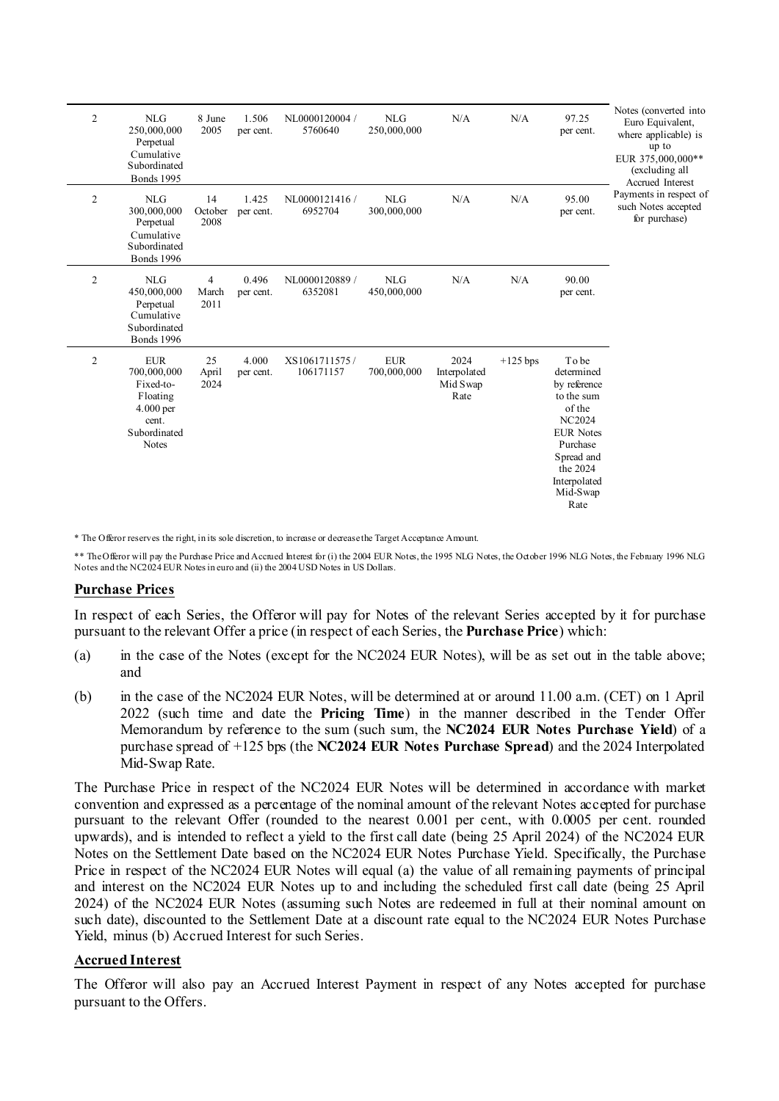| $\overline{c}$ | <b>NLG</b><br>250,000,000<br>Perpetual<br>Cumulative<br>Subordinated<br><b>Bonds</b> 1995                | 8 June<br>2005        | 1.506<br>per cent. | NL0000120004 /<br>5760640  | <b>NLG</b><br>250,000,000 | N/A                                      | N/A        | 97.25<br>per cent.                                                                                                                                                        | Notes (converted into<br>Euro Equivalent,<br>where applicable) is<br>up to<br>EUR 375,000,000**<br>(excluding all<br>Accrued Interest<br>Payments in respect of<br>such Notes accepted<br>for purchase) |
|----------------|----------------------------------------------------------------------------------------------------------|-----------------------|--------------------|----------------------------|---------------------------|------------------------------------------|------------|---------------------------------------------------------------------------------------------------------------------------------------------------------------------------|---------------------------------------------------------------------------------------------------------------------------------------------------------------------------------------------------------|
| $\mathfrak{2}$ | NLG<br>300,000,000<br>Perpetual<br>Cumulative<br>Subordinated<br><b>Bonds</b> 1996                       | 14<br>October<br>2008 | 1.425<br>per cent. | NL0000121416/<br>6952704   | <b>NLG</b><br>300,000,000 | N/A                                      | N/A        | 95.00<br>per cent.                                                                                                                                                        |                                                                                                                                                                                                         |
| $\overline{c}$ | <b>NLG</b><br>450,000,000<br>Perpetual<br>Cumulative<br>Subordinated<br><b>Bonds</b> 1996                | 4<br>March<br>2011    | 0.496<br>per cent. | NL0000120889 /<br>6352081  | <b>NLG</b><br>450,000,000 | N/A                                      | N/A        | 90.00<br>per cent.                                                                                                                                                        |                                                                                                                                                                                                         |
| $\mathfrak{2}$ | <b>EUR</b><br>700,000,000<br>Fixed-to-<br>Floating<br>4.000 per<br>cent.<br>Subordinated<br><b>Notes</b> | 25<br>April<br>2024   | 4.000<br>per cent. | XS1061711575/<br>106171157 | <b>EUR</b><br>700,000,000 | 2024<br>Interpolated<br>Mid Swap<br>Rate | $+125$ bps | Tobe<br>determined<br>by reference<br>to the sum<br>of the<br><b>NC2024</b><br><b>EUR</b> Notes<br>Purchase<br>Spread and<br>the 2024<br>Interpolated<br>Mid-Swap<br>Rate |                                                                                                                                                                                                         |

\* The Offeror reserves the right, in its sole discretion, to increase or decrease the Target Acceptance Amount.

\*\* The Offeror will pay the Purchase Price and Accrued Interest for (i) the 2004 EUR Notes, the 1995 NLG Notes, the October 1996 NLG Notes, the February 1996 NLG Notes and the NC2024 EUR Notes in euro and (ii) the 2004 USD Notes in US Dollars.

### **Purchase Prices**

In respect of each Series, the Offeror will pay for Notes of the relevant Series accepted by it for purchase pursuant to the relevant Offer a price (in respect of each Series, the **Purchase Price**) which:

- (a) in the case of the Notes (except for the NC2024 EUR Notes), will be as set out in the table above; and
- (b) in the case of the NC2024 EUR Notes, will be determined at or around 11.00 a.m. (CET) on 1 April 2022 (such time and date the **Pricing Time**) in the manner described in the Tender Offer Memorandum by reference to the sum (such sum, the **NC2024 EUR Notes Purchase Yield**) of a purchase spread of +125 bps (the **NC2024 EUR Notes Purchase Spread**) and the 2024 Interpolated Mid-Swap Rate.

The Purchase Price in respect of the NC2024 EUR Notes will be determined in accordance with market convention and expressed as a percentage of the nominal amount of the relevant Notes accepted for purchase pursuant to the relevant Offer (rounded to the nearest 0.001 per cent., with 0.0005 per cent. rounded upwards), and is intended to reflect a yield to the first call date (being 25 April 2024) of the NC2024 EUR Notes on the Settlement Date based on the NC2024 EUR Notes Purchase Yield. Specifically, the Purchase Price in respect of the NC2024 EUR Notes will equal (a) the value of all remaining payments of principal and interest on the NC2024 EUR Notes up to and including the scheduled first call date (being 25 April 2024) of the NC2024 EUR Notes (assuming such Notes are redeemed in full at their nominal amount on such date), discounted to the Settlement Date at a discount rate equal to the NC2024 EUR Notes Purchase Yield, minus (b) Accrued Interest for such Series.

### **Accrued Interest**

The Offeror will also pay an Accrued Interest Payment in respect of any Notes accepted for purchase pursuant to the Offers.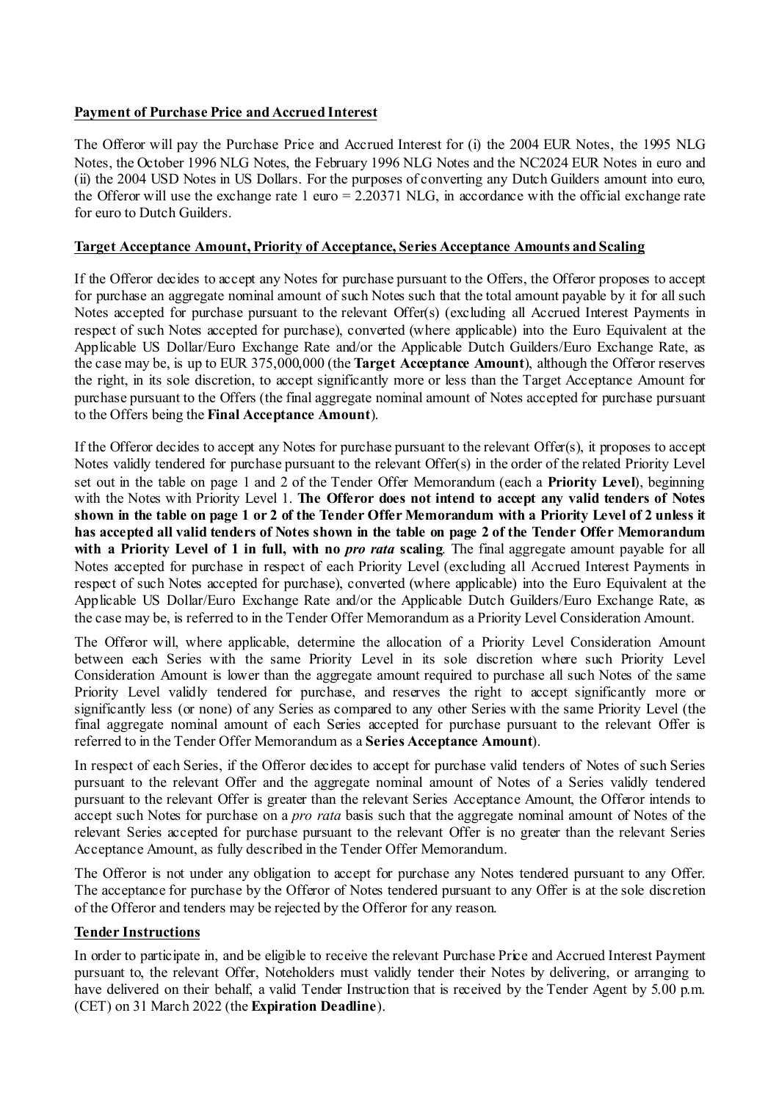# **Payment of Purchase Price and Accrued Interest**

The Offeror will pay the Purchase Price and Accrued Interest for (i) the 2004 EUR Notes, the 1995 NLG Notes, the October 1996 NLG Notes, the February 1996 NLG Notes and the NC2024 EUR Notes in euro and (ii) the 2004 USD Notes in US Dollars. For the purposes of converting any Dutch Guilders amount into euro, the Offeror will use the exchange rate 1 euro =  $2.20371$  NLG, in accordance with the official exchange rate for euro to Dutch Guilders.

# **Target Acceptance Amount, Priority of Acceptance, Series Acceptance Amounts and Scaling**

If the Offeror decides to accept any Notes for purchase pursuant to the Offers, the Offeror proposes to accept for purchase an aggregate nominal amount of such Notes such that the total amount payable by it for all such Notes accepted for purchase pursuant to the relevant Offer(s) (excluding all Accrued Interest Payments in respect of such Notes accepted for purchase), converted (where applicable) into the Euro Equivalent at the Applicable US Dollar/Euro Exchange Rate and/or the Applicable Dutch Guilders/Euro Exchange Rate, as the case may be, is up to EUR 375,000,000 (the **Target Acceptance Amount**), although the Offeror reserves the right, in its sole discretion, to accept significantly more or less than the Target Acceptance Amount for purchase pursuant to the Offers (the final aggregate nominal amount of Notes accepted for purchase pursuant to the Offers being the **Final Acceptance Amount**).

If the Offeror decides to accept any Notes for purchase pursuant to the relevant Offer(s), it proposes to accept Notes validly tendered for purchase pursuant to the relevant Offer(s) in the order of the related Priority Level set out in the table on page 1 and 2 of the Tender Offer Memorandum (each a **Priority Level**), beginning with the Notes with Priority Level 1. **The Offeror does not intend to accept any valid tenders of Notes shown in the table on page 1 or 2 of the Tender Offer Memorandum with a Priority Level of 2 unless it has accepted all valid tenders of Notes shown in the table on page 2 of the Tender Offer Memorandum**  with a Priority Level of 1 in full, with no *pro rata* scaling. The final aggregate amount payable for all Notes accepted for purchase in respect of each Priority Level (excluding all Accrued Interest Payments in respect of such Notes accepted for purchase), converted (where applicable) into the Euro Equivalent at the Applicable US Dollar/Euro Exchange Rate and/or the Applicable Dutch Guilders/Euro Exchange Rate, as the case may be, is referred to in the Tender Offer Memorandum as a Priority Level Consideration Amount.

The Offeror will, where applicable, determine the allocation of a Priority Level Consideration Amount between each Series with the same Priority Level in its sole discretion where such Priority Level Consideration Amount is lower than the aggregate amount required to purchase all such Notes of the same Priority Level validly tendered for purchase, and reserves the right to accept significantly more or significantly less (or none) of any Series as compared to any other Series with the same Priority Level (the final aggregate nominal amount of each Series accepted for purchase pursuant to the relevant Offer is referred to in the Tender Offer Memorandum as a **Series Acceptance Amount**).

In respect of each Series, if the Offeror decides to accept for purchase valid tenders of Notes of such Series pursuant to the relevant Offer and the aggregate nominal amount of Notes of a Series validly tendered pursuant to the relevant Offer is greater than the relevant Series Acceptance Amount, the Offeror intends to accept such Notes for purchase on a *pro rata* basis such that the aggregate nominal amount of Notes of the relevant Series accepted for purchase pursuant to the relevant Offer is no greater than the relevant Series Acceptance Amount, as fully described in the Tender Offer Memorandum.

The Offeror is not under any obligation to accept for purchase any Notes tendered pursuant to any Offer. The acceptance for purchase by the Offeror of Notes tendered pursuant to any Offer is at the sole discretion of the Offeror and tenders may be rejected by the Offeror for any reason.

# **Tender Instructions**

In order to participate in, and be eligible to receive the relevant Purchase Price and Accrued Interest Payment pursuant to, the relevant Offer, Noteholders must validly tender their Notes by delivering, or arranging to have delivered on their behalf, a valid Tender Instruction that is received by the Tender Agent by 5.00 p.m. (CET) on 31 March 2022 (the **Expiration Deadline**).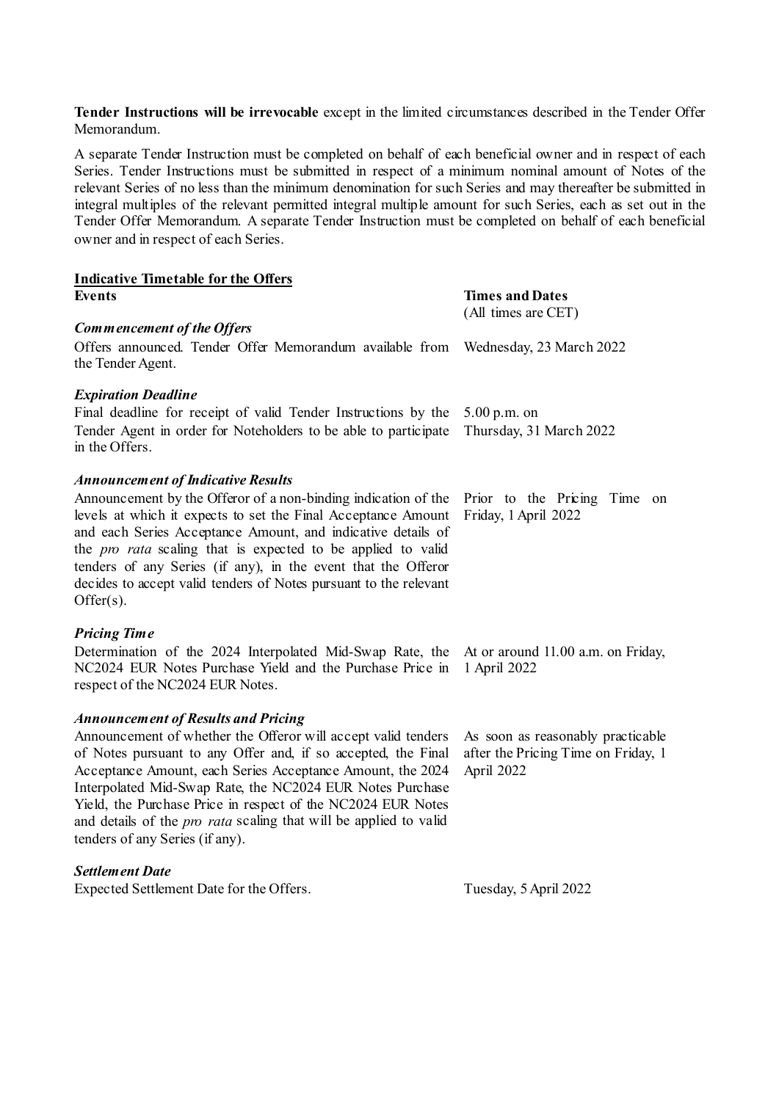**Tender Instructions will be irrevocable** except in the limited circumstances described in the Tender Offer Memorandum.

A separate Tender Instruction must be completed on behalf of each beneficial owner and in respect of each Series. Tender Instructions must be submitted in respect of a minimum nominal amount of Notes of the relevant Series of no less than the minimum denomination for such Series and may thereafter be submitted in integral multiples of the relevant permitted integral multiple amount for such Series, each as set out in the Tender Offer Memorandum. A separate Tender Instruction must be completed on behalf of each beneficial owner and in respect of each Series.

| <b>Indicative Timetable for the Offers</b>                                                                                                                                                                                                                                                                                                                                                                                               |                                                                                        |  |  |  |
|------------------------------------------------------------------------------------------------------------------------------------------------------------------------------------------------------------------------------------------------------------------------------------------------------------------------------------------------------------------------------------------------------------------------------------------|----------------------------------------------------------------------------------------|--|--|--|
| <b>Events</b>                                                                                                                                                                                                                                                                                                                                                                                                                            | <b>Times and Dates</b>                                                                 |  |  |  |
| Commencement of the Offers                                                                                                                                                                                                                                                                                                                                                                                                               | (All times are CET)                                                                    |  |  |  |
| Offers announced. Tender Offer Memorandum available from<br>the Tender Agent.                                                                                                                                                                                                                                                                                                                                                            | Wednesday, 23 March 2022                                                               |  |  |  |
| <b>Expiration Deadline</b>                                                                                                                                                                                                                                                                                                                                                                                                               |                                                                                        |  |  |  |
| Final deadline for receipt of valid Tender Instructions by the<br>Tender Agent in order for Noteholders to be able to participate<br>in the Offers.                                                                                                                                                                                                                                                                                      | 5.00 p.m. on<br>Thursday, 31 March 2022                                                |  |  |  |
| <b>Announcement of Indicative Results</b>                                                                                                                                                                                                                                                                                                                                                                                                |                                                                                        |  |  |  |
| Announcement by the Offeror of a non-binding indication of the<br>levels at which it expects to set the Final Acceptance Amount<br>and each Series Acceptance Amount, and indicative details of<br>the <i>pro rata</i> scaling that is expected to be applied to valid<br>tenders of any Series (if any), in the event that the Offeror<br>decides to accept valid tenders of Notes pursuant to the relevant<br>$Offer(s)$ .             | Prior to the Pricing Time<br>on<br>Friday, 1 April 2022                                |  |  |  |
| <b>Pricing Time</b>                                                                                                                                                                                                                                                                                                                                                                                                                      |                                                                                        |  |  |  |
| Determination of the 2024 Interpolated Mid-Swap Rate, the<br>NC2024 EUR Notes Purchase Yield and the Purchase Price in<br>respect of the NC2024 EUR Notes.                                                                                                                                                                                                                                                                               | At or around 11.00 a.m. on Friday,<br>1 April 2022                                     |  |  |  |
| <b>Announcement of Results and Pricing</b>                                                                                                                                                                                                                                                                                                                                                                                               |                                                                                        |  |  |  |
| Announcement of whether the Offeror will accept valid tenders<br>of Notes pursuant to any Offer and, if so accepted, the Final<br>Acceptance Amount, each Series Acceptance Amount, the 2024<br>Interpolated Mid-Swap Rate, the NC2024 EUR Notes Purchase<br>Yield, the Purchase Price in respect of the NC2024 EUR Notes<br>and details of the <i>pro rata</i> scaling that will be applied to valid<br>tenders of any Series (if any). | As soon as reasonably practicable<br>after the Pricing Time on Friday, 1<br>April 2022 |  |  |  |
| <b>Settlement Date</b>                                                                                                                                                                                                                                                                                                                                                                                                                   |                                                                                        |  |  |  |
| Expected Settlement Date for the Offers.                                                                                                                                                                                                                                                                                                                                                                                                 | Tuesday, 5 April 2022                                                                  |  |  |  |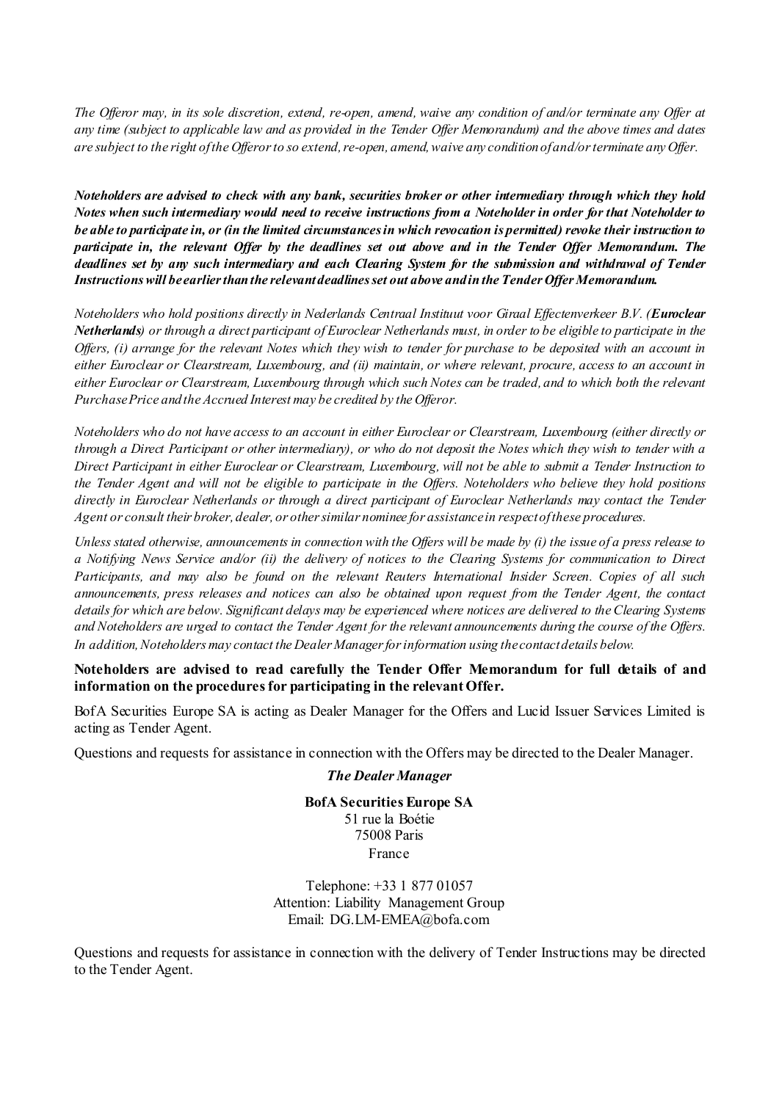*The Offeror may, in its sole discretion, extend, re-open, amend, waive any condition of and/or terminate any Offer at any time (subject to applicable law and as provided in the Tender Offer Memorandum) and the above times and dates are subject to the right of the Offerorto so extend, re-open, amend, waive any condition ofand/or terminate any Offer.*

*Noteholders are advised to check with any bank, securities broker or other intermediary through which they hold Notes when such intermediary would need to receive instructions from a Noteholder in order for that Noteholder to be able to participate in, or (in the limited circumstances in which revocation is permitted) revoke their instruction to participate in, the relevant Offer by the deadlines set out above and in the Tender Offer Memorandum. The deadlines set by any such intermediary and each Clearing System for the submission and withdrawal of Tender Instructions will be earlier than the relevant deadlines set out above and in the Tender Offer Memorandum.*

*Noteholders who hold positions directly in Nederlands Centraal Instituut voor Giraal Effectenverkeer B.V. (Euroclear Netherlands) or through a direct participant of Euroclear Netherlands must, in order to be eligible to participate in the Offers, (i) arrange for the relevant Notes which they wish to tender for purchase to be deposited with an account in either Euroclear or Clearstream, Luxembourg, and (ii) maintain, or where relevant, procure, access to an account in either Euroclear or Clearstream, Luxembourg through which such Notes can be traded, and to which both the relevant Purchase Price and the Accrued Interest may be credited by the Offeror.* 

*Noteholders who do not have access to an account in either Euroclear or Clearstream, Luxembourg (either directly or through a Direct Participant or other intermediary), or who do not deposit the Notes which they wish to tender with a Direct Participant in either Euroclear or Clearstream, Luxembourg, will not be able to submit a Tender Instruction to the Tender Agent and will not be eligible to participate in the Offers. Noteholders who believe they hold positions directly in Euroclear Netherlands or through a direct participant of Euroclear Netherlands may contact the Tender Agent or consult their broker, dealer, or other similar nominee for assistance in respect of these procedures.*

*Unless stated otherwise, announcements in connection with the Offers will be made by (i) the issue of a press release to a Notifying News Service and/or (ii) the delivery of notices to the Clearing Systems for communication to Direct Participants, and may also be found on the relevant Reuters International Insider Screen. Copies of all such announcements, press releases and notices can also be obtained upon request from the Tender Agent, the contact details for which are below. Significant delays may be experienced where notices are delivered to the Clearing Systems and Noteholders are urged to contact the Tender Agent for the relevant announcements during the course of the Offers. In addition, Noteholders may contact the Dealer Manager for information using the contact details below.*

**Noteholders are advised to read carefully the Tender Offer Memorandum for full details of and information on the procedures for participating in the relevant Offer.**

BofA Securities Europe SA is acting as Dealer Manager for the Offers and Lucid Issuer Services Limited is acting as Tender Agent.

Questions and requests for assistance in connection with the Offers may be directed to the Dealer Manager.

#### *The Dealer Manager*

**BofA Securities Europe SA** 51 rue la Boétie 75008 Paris France

Telephone: +33 1 877 01057 Attention: Liability Management Group Email: DG.LM-EMEA@bofa.com

Questions and requests for assistance in connection with the delivery of Tender Instructions may be directed to the Tender Agent.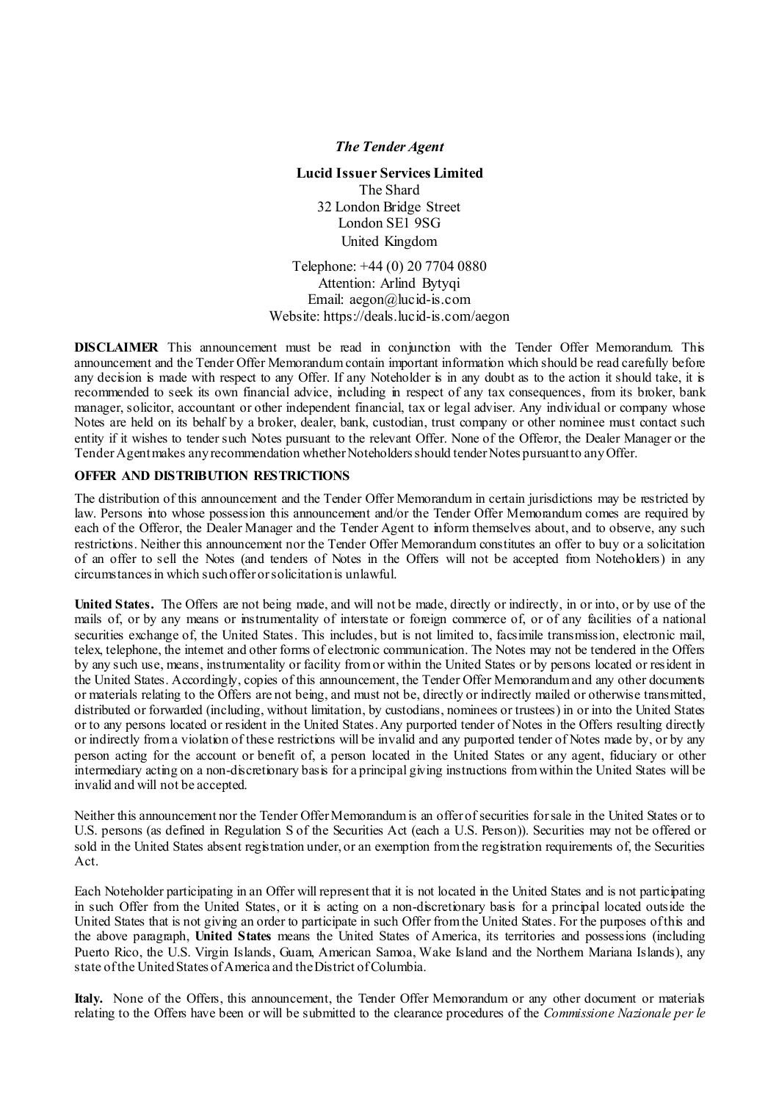#### *The Tender Agent*

**Lucid Issuer Services Limited** The Shard 32 London Bridge Street London SE1 9SG United Kingdom

Telephone: +44 (0) 20 7704 0880 Attention: Arlind Bytyqi Email: [aegon@lucid-is.com](mailto:aegon@lucid-is.com) Website:<https://deals.lucid-is.com/aegon>

**DISCLAIMER** This announcement must be read in conjunction with the Tender Offer Memorandum. This announcement and the Tender Offer Memorandum contain important information which should be read carefully before any decision is made with respect to any Offer. If any Noteholder is in any doubt as to the action it should take, it is recommended to seek its own financial advice, including in respect of any tax consequences, from its broker, bank manager, solicitor, accountant or other independent financial, tax or legal adviser. Any individual or company whose Notes are held on its behalf by a broker, dealer, bank, custodian, trust company or other nominee must contact such entity if it wishes to tender such Notes pursuant to the relevant Offer. None of the Offeror, the Dealer Manager or the Tender Agent makes any recommendation whether Noteholders should tender Notes pursuantto anyOffer.

#### **OFFER AND DISTRIBUTION RESTRICTIONS**

The distribution of this announcement and the Tender Offer Memorandum in certain jurisdictions may be restricted by law. Persons into whose possession this announcement and/or the Tender Offer Memorandum comes are required by each of the Offeror, the Dealer Manager and the Tender Agent to inform themselves about, and to observe, any such restrictions. Neither this announcement nor the Tender Offer Memorandum constitutes an offer to buy or a solicitation of an offer to sell the Notes (and tenders of Notes in the Offers will not be accepted from Noteholders) in any circumstances in which such offer or solicitation is unlawful.

**United States.** The Offers are not being made, and will not be made, directly or indirectly, in or into, or by use of the mails of, or by any means or instrumentality of interstate or foreign commerce of, or of any facilities of a national securities exchange of, the United States. This includes, but is not limited to, facsimile transmission, electronic mail, telex, telephone, the internet and other forms of electronic communication. The Notes may not be tendered in the Offers by any such use, means, instrumentality or facility from or within the United States or by persons located or resident in the United States. Accordingly, copies of this announcement, the Tender Offer Memorandum and any other documents or materials relating to the Offers are not being, and must not be, directly or indirectly mailed or otherwise transmitted, distributed or forwarded (including, without limitation, by custodians, nominees or trustees) in or into the United States or to any persons located or resident in the United States. Any purported tender of Notes in the Offers resulting directly or indirectly from a violation of these restrictions will be invalid and any purported tender of Notes made by, or by any person acting for the account or benefit of, a person located in the United States or any agent, fiduciary or other intermediary acting on a non-discretionary basis for a principal giving instructions from within the United States will be invalid and will not be accepted.

Neither this announcement nor the Tender Offer Memorandum is an offer of securities for sale in the United States or to U.S. persons (as defined in Regulation S of the Securities Act (each a U.S. Person)). Securities may not be offered or sold in the United States absent registration under, or an exemption from the registration requirements of, the Securities Act.

Each Noteholder participating in an Offer will represent that it is not located in the United States and is not participating in such Offer from the United States, or it is acting on a non-discretionary basis for a principal located outside the United States that is not giving an order to participate in such Offer from the United States. For the purposes of this and the above paragraph, **United States** means the United States of America, its territories and possessions (including Puerto Rico, the U.S. Virgin Islands, Guam, American Samoa, Wake Island and the Northern Mariana Islands), any state of the United States of America and the District of Columbia.

**Italy.** None of the Offers, this announcement, the Tender Offer Memorandum or any other document or materials relating to the Offers have been or will be submitted to the clearance procedures of the *Commissione Nazionale per le*